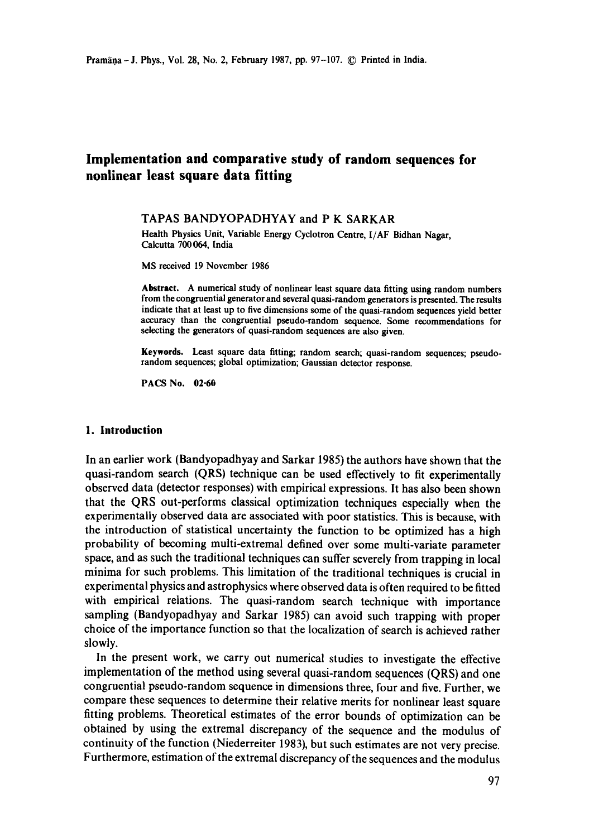# **Implementation and comparative study of random sequences for nonlinear least square data fitting**

# TAPAS BANDYOPADHYAY and P K SARKAR

Health Physics Unit, Variable Energy Cyclotron Centre, *I/AF* Bidhan Nagar, Calcutta 700 064, India

MS received 19 November 1986

**Abstract.** A numerical study of nonlinear least square data **fitting using** random numbers from the congruential generator and several quasi-random generators is presented. The results **indicate** that at least up to five dimensions some of the quasi-random sequences yield better accuracy than the congruential pseudo-random sequence. Some recommendations for selecting the generators of quasi-random sequences are also given.

**Keywords.** Least square data fitting; random search; quasi-random sequences; pseudorandom sequences; global optimization; Gaussian detector response.

**PACS No. 02-60** 

# **1. Introduction**

In an earlier work (Bandyopadhyay and Sarkar 1985) the authors have shown that the quasi-random search (QRS) technique can be used effectively to fit experimentally observed data (detector responses) with empirical expressions. It has also been shown that the QRS out-performs classical optimization techniques especially when the experimentally observed data are associated with poor statistics. This is because, with the introduction of statistical uncertainty the function to be optimized has a high probability of becoming multi-extremal defined over some multi-variate parameter space, and as such the traditional techniques can suffer severely from trapping in local minima for such problems. This limitation of the traditional techniques is crucial in experimental physics and astrophysics where observed data is often required to be fitted with empirical relations. The quasi-random search technique with importance sampling (Bandyopadhyay and Sarkar 1985) can avoid such trapping with proper choice of the importance function so that the localization of search is achieved rather slowly.

In the present work, we carry out numerical studies to investigate the effective implementation of the method using several quasi-random sequences (QRS) and one congruential pseudo-random sequence in dimensions three, four and five. Further, we compare these sequences to determine their relative merits for nonlinear least square fitting problems. Theoretical estimates of the error bounds of optimization can be obtained by using the extremal discrepancy of the sequence and the modulus of continuity of the function (Niederreiter 1983), but such estimates are not very precise. Furthermore, estimation of the extremal discrepancy of the sequences and the modulus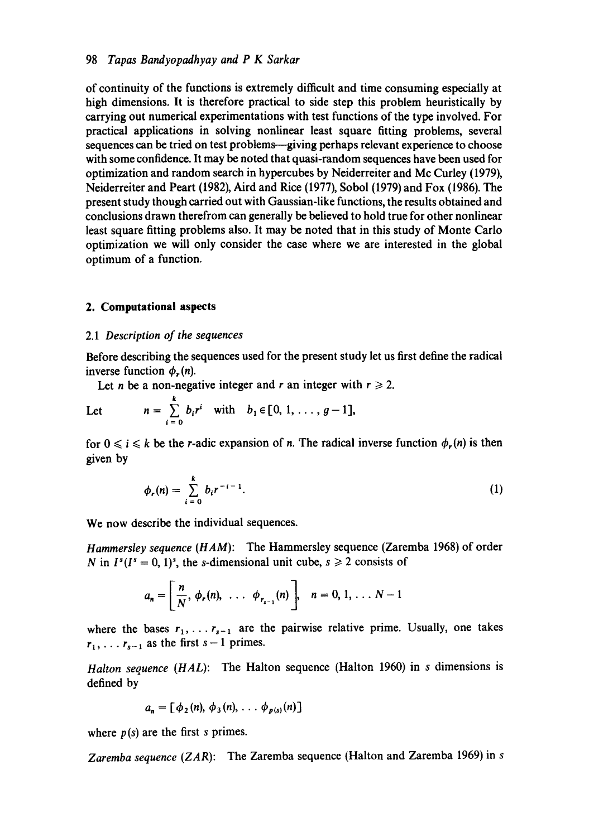of continuity of the functions is extremely difficult and time consuming especially at high dimensions. It is therefore practical to side step this problem heuristically by carrying out numerical experimentations with test functions of the type involved. For practical applications in solving nonlinear least square fitting problems, several sequences can be tried on test problems—giving perhaps relevant experience to choose with some confidence. It may be noted that quasi-random sequences have been used for optimization and random search in hypercubes by Neiderreiter and Mc Curley (1979), Neiderreiter and Peart (1982), Aird and Rice (1977), Sobol (1979) and Fox (1986). The present study though carried out with Gaussian-like functions, the results obtained and conclusions drawn therefrom can generally be believed to hold true for other nonlinear least square fitting problems also. It may be noted that in this study of Monte Carlo optimization we will only consider the case where we are interested in the global optimum of a function.

# **2. Computational aspects**

## *2.1 Description of the sequences*

Before describing the sequences used for the present study let us first define the radical inverse function  $\phi_r(n)$ .

Let *n* be a non-negative integer and *r* an integer with  $r \ge 2$ .

Let 
$$
n = \sum_{i=0}^{k} b_i r^i \quad \text{with} \quad b_1 \in [0, 1, \ldots, g-1],
$$

for  $0 \le i \le k$  be the *r*-adic expansion of *n*. The radical inverse function  $\phi_r(n)$  is then given by

$$
\phi_r(n) = \sum_{i=0}^k b_i r^{-i-1}.
$$
 (1)

We now describe the individual sequences.

*Hammersley sequence (HAM):* The Hammersley sequence (Zaremba 1968) of order N in  $I^s(I^s = 0, 1)^s$ , the s-dimensional unit cube,  $s \ge 2$  consists of

$$
a_n = \left[\frac{n}{N}, \phi_r(n), \ldots \phi_{r_{s-1}}(n)\right], \quad n = 0, 1, \ldots N-1
$$

where the bases  $r_1, \ldots r_{s-1}$  are the pairwise relative prime. Usually, one takes  $r_1, \ldots r_{s-1}$  as the first  $s-1$  primes.

*Halton sequence (HAL):* The Halton sequence (Halton 1960) in s dimensions is defined by

$$
a_n = \left[\phi_2(n), \phi_3(n), \ldots \phi_{p(s)}(n)\right]
$$

where  $p(s)$  are the first s primes.

*Zaremba sequence* (ZAR): The Zaremba sequence (Halton and Zaremba 1969) in s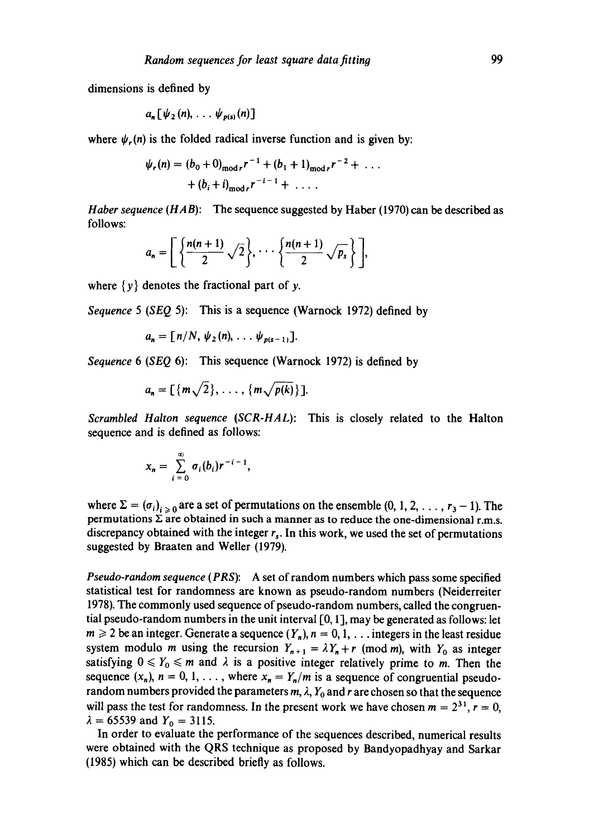dimensions is defined by

$$
a_n\big[\psi_2(n),\ldots\psi_{p(s)}(n)\big]
$$

where  $\psi_{r}(n)$  is the folded radical inverse function and is given by:

$$
\psi_r(n) = (b_0 + 0)_{\text{mod }r} r^{-1} + (b_1 + 1)_{\text{mod }r} r^{-2} + \dots
$$
  
+ 
$$
(b_i + i)_{\text{mod }r} r^{-i-1} + \dots
$$

*Haber sequence (HAB):* The sequence suggested by Haber (1970) can be described as follows:

$$
a_n = \left[ \left\{ \frac{n(n+1)}{2} \sqrt{2} \right\}, \cdots \left\{ \frac{n(n+1)}{2} \sqrt{p_s} \right\} \right],
$$

where  $\{y\}$  denotes the fractional part of y.

*Sequence 5 (SEQ* 5): This is a sequence (Warnock 1972) defined by

$$
a_n = [n/N, \psi_2(n), \ldots, \psi_{p(s-1)}].
$$

*Sequence 6 (SEQ* 6): This sequence (Warnock 1972) is defined by

$$
a_n = \left[ \{ m \sqrt{2} \}, \ldots, \{ m \sqrt{p(k)} \} \right].
$$

*Scrambled Halton sequence (SCR-HAL):*  This is closely related to the Halton sequence and is defined as follows:

$$
x_n=\sum_{i=0}^{\infty}\sigma_i(b_i)r^{-i-1},
$$

where  $\Sigma = (\sigma_i)_{i>0}$  are a set of permutations on the ensemble  $(0, 1, 2, \ldots, r_3 - 1)$ . The permutations  $\Sigma$  are obtained in such a manner as to reduce the one-dimensional r.m.s. discrepancy obtained with the integer  $r<sub>s</sub>$ . In this work, we used the set of permutations suggested by Braaten and Weller (1979).

*Pseudo-random sequence (PRS):* A set of random numbers which pass some specified statistical test for randomness are known as pseudo-random numbers (Neiderreiter 1978). The commonly used sequence of pseudo-random numbers, called the congruential pseudo-random numbers in the unit interval [0, 1 ], may be generated as follows: let  $m \ge 2$  be an integer. Generate a sequence  $(Y_n)$ ,  $n = 0, 1, \ldots$  integers in the least residue system modulo *m* using the recursion  $Y_{n+1} = \lambda Y_n + r$  (mod *m*), with  $Y_0$  as integer satisfying  $0 \le Y_0 \le m$  and  $\lambda$  is a positive integer relatively prime to m. Then the sequence  $(x_n)$ ,  $n = 0, 1, \ldots$ , where  $x_n = Y_n/m$  is a sequence of congruential pseudorandom numbers provided the parameters  $m$ ,  $\lambda$ ,  $Y_0$  and r are chosen so that the sequence will pass the test for randomness. In the present work we have chosen  $m = 2^{31}$ ,  $r = 0$ ,  $\lambda = 65539$  and  $Y_0 = 3115$ .

In order to evaluate the performance of the sequences described, numerical results were obtained with the QRS technique as proposed by Bandyopadhyay and Sarkar (1985) which can be described briefly as follows.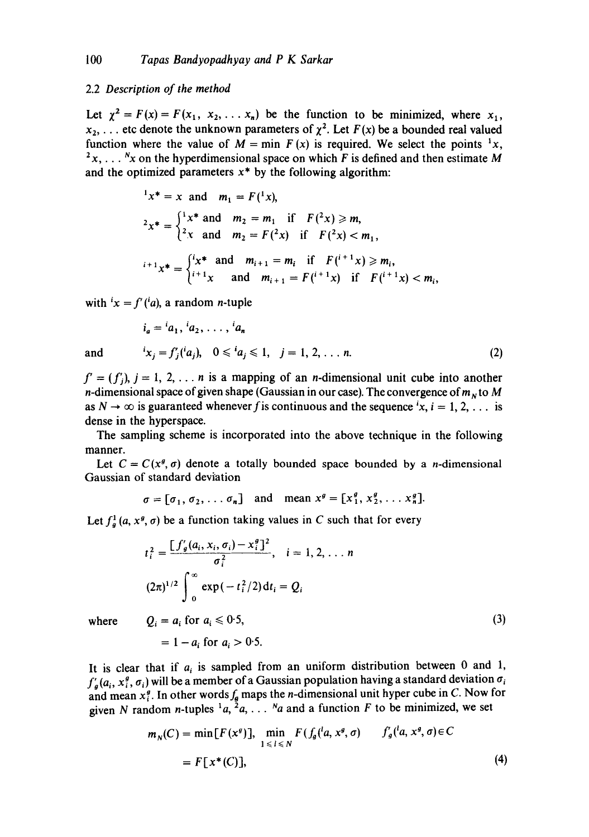#### 2.2 *Description of the method*

Let  $\chi^2 = F(x) = F(x_1, x_2, \ldots, x_n)$  be the function to be minimized, where  $x_1$ ,  $x_2, \ldots$  etc denote the unknown parameters of  $\chi^2$ . Let  $F(x)$  be a bounded real valued function where the value of  $M = \min F(x)$  is required. We select the points <sup>1</sup>x,  $x_1, \ldots, x_n$  on the hyperdimensional space on which F is defined and then estimate M and the optimized parameters  $x^*$  by the following algorithm:

$$
f(x^*) = x \text{ and } m_1 = F({}^1 x),
$$
  
\n
$$
f(x^*) = \begin{cases} f(x^*) & \text{and } m_2 = m_1 \text{ if } F({}^2 x) \ge m, \\ f(x^*) & \text{and } m_2 = F({}^2 x) \text{ if } F({}^2 x) < m_1, \end{cases}
$$
  
\n
$$
f(x^*) = \begin{cases} f(x^*) & \text{and } m_{i+1} = m_i \text{ if } F({}^{i+1} x) \ge m_i, \\ f(x^*) & \text{and } m_{i+1} = F({}^{i+1} x) \text{ if } F({}^{i+1} x) < m_i, \end{cases}
$$

with  $x = f'(a)$ , a random *n*-tuple

$$
i_a = {i_a_1, i_a_2, \ldots, i_a_n}
$$
  
and 
$$
i_{x_j} = f'_j({i_a}_j), \quad 0 \leq i_{a_j} \leq 1, \quad j = 1, 2, \ldots n.
$$
 (2)

 $f' = (f'_i)$ ,  $j = 1, 2, \ldots n$  is a mapping of an *n*-dimensional unit cube into another *n*-dimensional space of given shape (Gaussian in our case). The convergence of  $m<sub>N</sub>$  to M as  $N \to \infty$  is guaranteed whenever f is continuous and the sequence  $x, i = 1, 2, \ldots$  is dense in the hyperspace.

The sampling scheme is incorporated into the above technique in the following manner.

Let  $C = C(x^g, \sigma)$  denote a totally bounded space bounded by a *n*-dimensional Gaussian of standard deviation

 $\sigma = [\sigma_1, \sigma_2, \ldots \sigma_n]$  and mean  $x^g = [x_1^g, x_2^g, \ldots, x_n^g]$ .

Let  $f_a^1(a, x^g, \sigma)$  be a function taking values in C such that for every

$$
t_i^2 = \frac{\left[f'_g(a_i, x_i, \sigma_i) - x_i^g\right]^2}{\sigma_i^2}, \quad i = 1, 2, \dots n
$$
  

$$
(2\pi)^{1/2} \int_0^\infty \exp(-t_i^2/2) dt_i = Q_i
$$
  
where  $Q_i = a_i$  for  $a_i \leq 0.5$ , (3)

 $= 1 - a_i$  for  $a_i > 0.5$ .

It is clear that if  $a_i$  is sampled from an uniform distribution between 0 and 1,  $f'_g(a_i, x_i^g, \sigma_i)$  will be a member of a Gaussian population having a standard deviation  $\sigma_i$ and mean  $x_i^g$ . In other words  $f_g$  maps the *n*-dimensional unit hyper cube in C. Now for given N random n-tuples  $^{1}a, ^{2}a, \ldots$  N a and a function F to be minimized, we set

$$
m_N(C) = \min[F(x^g)], \min_{1 \leq l \leq N} F(f_g(^l a, x^g, \sigma) \qquad f'_g(^l a, x^g, \sigma) \in C
$$

$$
= F[x^*(C)], \tag{4}
$$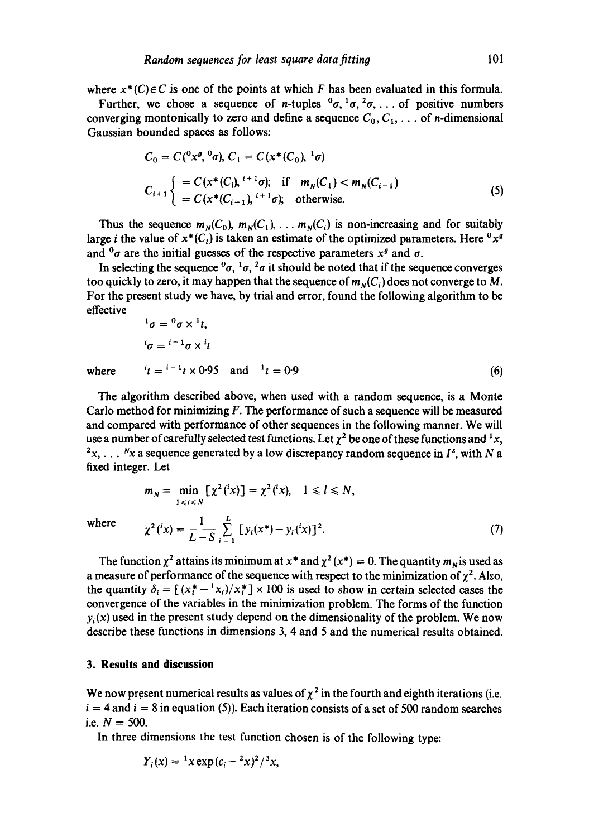where  $x^*(C) \in C$  is one of the points at which F has been evaluated in this formula.

Further, we chose a sequence of *n*-tuples  ${}^0\sigma, {}^1\sigma, {}^2\sigma, \ldots$  of positive numbers converging montonically to zero and define a sequence  $C_0, C_1, \ldots$  of *n*-dimensional Gaussian bounded spaces as follows:

$$
C_0 = C({}^0 x^g, {}^0 \sigma), C_1 = C(x^*(C_0), {}^1 \sigma)
$$
  
\n
$$
C_{i+1} \left\{ \begin{aligned} &= C(x^*(C_i), {}^{i+1} \sigma); & \text{if} & m_N(C_1) < m_N(C_{i-1}) \\ &= C(x^*(C_{i-1}), {}^{i+1} \sigma); & \text{otherwise.} \end{aligned} \right. \tag{5}
$$

Thus the sequence  $m_N(C_0)$ ,  $m_N(C_1)$ , ...  $m_N(C_i)$  is non-increasing and for suitably large *i* the value of  $x^*(C_i)$  is taken an estimate of the optimized parameters. Here  ${}^0x^g$ and  ${}^{0}\sigma$  are the initial guesses of the respective parameters  $x^{\theta}$  and  $\sigma$ .

In selecting the sequence  ${}^0\sigma$ ,  ${}^1\sigma$ ,  ${}^2\sigma$  it should be noted that if the sequence converges too quickly to zero, it may happen that the sequence of  $m_N(C_i)$  does not converge to M. For the present study we have, by trial and error, found the following algorithm to be effective

$$
{}^{1}\sigma = {}^{0}\sigma \times {}^{1}t,
$$
  
\n
$$
{}^{i}\sigma = {}^{i-1}\sigma \times {}^{i}t
$$
  
\nwhere 
$$
{}^{i}t = {}^{i-1}t \times 0.95 \text{ and } {}^{1}t = 0.9
$$
 (6)

The algorithm described above, when used with a random sequence, is a Monte Carlo method for minimizing  $F$ . The performance of such a sequence will be measured and compared with performance of other sequences in the following manner. We will use a number of carefully selected test functions. Let  $\chi^2$  be one of these functions and  $^1x$ ,  $2x, \ldots$  N<sub>x</sub> a sequence generated by a low discrepancy random sequence in I<sup>s</sup>, with N a fixed integer. Let

$$
m_N = \min_{1 \le i \le N} \left[ \chi^2({}^i x) \right] = \chi^2({}^l x), \quad 1 \le l \le N,
$$
  
where  

$$
\chi^2({}^i x) = \frac{1}{L - S} \sum_{i=1}^{L} \left[ y_i(x^*) - y_i({}^i x) \right]^2.
$$
 (7)

The function  $\chi^2$  attains its minimum at  $x^*$  and  $\chi^2(x^*) = 0$ . The quantity  $m_N$  is used as a measure of performance of the sequence with respect to the minimization of  $\chi^2$ . Also, the quantity  $\delta_i = [(x_i^* - {}^1x_i)/x_i^*] \times 100$  is used to show in certain selected cases the convergence of the variables in the minimization problem. The forms of the function  $y_i(x)$  used in the present study depend on the dimensionality of the problem. We now describe these functions in dimensions 3, 4 and 5 and the numerical results obtained.

## **3. Results and discussion**

We now present numerical results as values of  $\chi^2$  in the fourth and eighth iterations (i.e.  $i = 4$  and  $i = 8$  in equation (5)). Each iteration consists of a set of 500 random searches i.e.  $N = 500$ .

In three dimensions the test function chosen is of the following type:

$$
Y_i(x) = {^{1}x \exp(c_i - {^{2}x})^2}/{^{3}x},
$$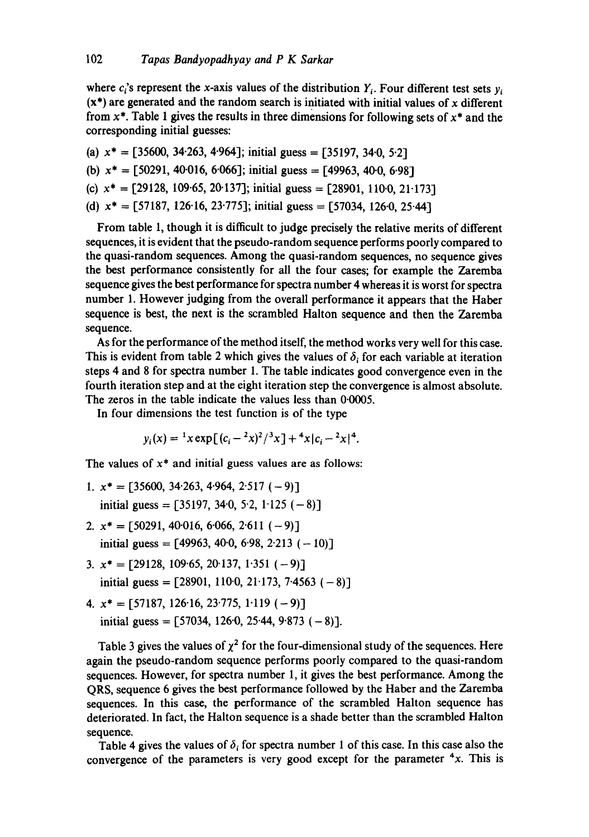where  $c_i$ 's represent the x-axis values of the distribution  $Y_i$ . Four different test sets  $y_i$  $(x^*)$  are generated and the random search is initiated with initial values of x different from  $x^*$ . Table 1 gives the results in three dimensions for following sets of  $x^*$  and the corresponding initial guesses:

(a)  $x^* = [35600, 34.263, 4.964]$ ; initial guess = [35197, 34.0, 5.2] (b)  $x^* = [50291, 40016, 6066]$ ; initial guess = [49963, 400, 6.98] (c)  $x^* = [29128, 109.65, 20.137]$ ; initial guess = [28901, 110.0, 21.173] (d)  $x^* = \frac{57187}{126.16}$ ,  $\frac{23.775}{1}$ ; initial guess = [57034, 126.0, 25.44]

From table 1, though it is difficult to judge precisely the relative merits of different sequences, it is evident that the pseudo-random sequence performs poorly compared to the quasi-random sequences. Among the quasi-random sequences, no sequence gives the best performance consistently for all the four cases; for example the Zaremba sequence gives the best performance for spectra number 4 whereas it is worst for spectra number 1. However judging from the overall performance it appears that the Haber sequence is best, the next is the scrambled Halton sequence and then the Zaremba sequence.

As for the performance of the method itself, the method works very well for this case. This is evident from table 2 which gives the values of  $\delta_i$  for each variable at iteration steps 4 and 8 for spectra number 1. The table indicates good convergence even in the fourth iteration step and at the eight iteration step the convergence is almost absolute. The zeros in the table indicate the values less than 0.0005.

In four dimensions the test function is of the type

 $y_i(x) = {}^{1}x \exp[(c_i - {}^{2}x)^2 / {}^{3}x] + {}^{4}x[c_i - {}^{2}x] + {}^{4}$ .

The values of  $x^*$  and initial guess values are as follows:

- 1.  $x^* = [35600, 34.263, 4.964, 2.517(-9)]$ initial guess =  $[35197, 340, 52, 1125(-8)]$
- 2.  $x^* = \{50291, 40.016, 6.066, 2.611 (-9)\}\$ initial guess =  $[49963, 400, 609, 2013 (-10)]$
- 3.  $x^* = [29128, 109.65, 20.137, 1.351 (-9)]$ initial guess =  $[28901, 1100, 21173, 74563 (-8)]$
- 4.  $x^* = \begin{bmatrix} 57187, 126.16, 23.775, 1.119 (-9) \end{bmatrix}$ initial guess =  $[57034, 1260, 2544, 9873 (-8)].$

Table 3 gives the values of  $\chi^2$  for the four-dimensional study of the sequences. Here again the pseudo-random sequence performs poorly compared to the quasi-random sequences. However, for spectra number 1, it gives the best performance. Among the QRS, sequence 6 gives the best performance followed by the Haber and the Zaremba sequences. In this case, the performance of the scrambled Halton sequence has deteriorated. In fact, the Halton sequence is a shade better than the scrambled Halton sequence.

Table 4 gives the values of  $\delta_i$  for spectra number 1 of this case. In this case also the convergence of the parameters is very good except for the parameter  $4x$ . This is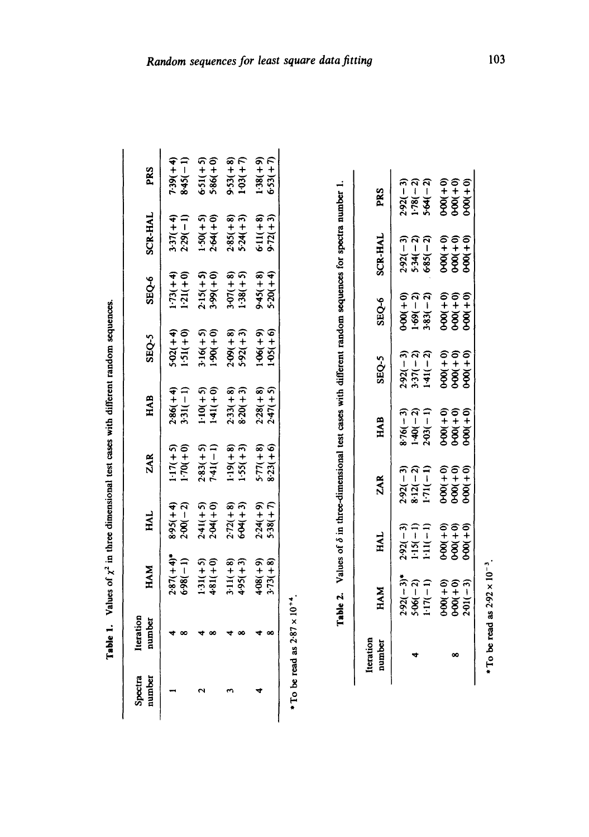| i                                                       |
|---------------------------------------------------------|
|                                                         |
|                                                         |
| was that feat readed with                               |
| $\ddot{\phantom{a}}$                                    |
|                                                         |
| j<br>֧֧֧֧֧֚֚֚֚֚֚֚֚֚֚֚֚֚֚֚֚֚֚֚֚֝֝֓֡֓֝֓֡֓֡֬֓֓֡֬֓֓֓֝֓֓֝֓֝֬ |
|                                                         |
|                                                         |
|                                                         |
| í                                                       |

| Spectra<br>umber | lteration<br>number | HAM                                                                                             | HAL                                                  | ZAR                                            | HAB                                                                              | SEQ-5                                                                                                                        | SEQ-6 | <b>SCR-HAL</b>                                                                   | PRS                                                                                           |
|------------------|---------------------|-------------------------------------------------------------------------------------------------|------------------------------------------------------|------------------------------------------------|----------------------------------------------------------------------------------|------------------------------------------------------------------------------------------------------------------------------|-------|----------------------------------------------------------------------------------|-----------------------------------------------------------------------------------------------|
|                  |                     |                                                                                                 | $\frac{8.95(+4)}{2.00(-2)}$                          | $1.17(+5)$<br>1.70(+0)                         |                                                                                  |                                                                                                                              |       | $(1-)62.5$                                                                       |                                                                                               |
|                  |                     |                                                                                                 |                                                      |                                                |                                                                                  |                                                                                                                              |       |                                                                                  |                                                                                               |
|                  |                     | $2:87(+4)*$<br>$5:98(-1)$<br>$5:31(+5)$<br>$5:11(+8)$<br>$5:11(+8)$<br>$5:11(+8)$<br>$5:11(+8)$ | $2.41(+5)$<br>$2.04(+0)$<br>$2.72(+8)$<br>$5.04(+3)$ | $2.83(+5)$<br>7-41(-1)<br>1-19(+8)<br>1-55(+3) | $2:86(+4)$<br>$3:31(-1)$<br>$3:31(+5)$<br>$1:41(+0)$<br>$1:41(+8)$<br>$2:33(+3)$ | $-3.02(+4)$<br>$-3.1(+0)$<br>$-3.1(0+5)$<br>$-3.0(-1)$<br>$-3.0(-1)$<br>$-3.0(-1)$<br>$-3.0(-1)$<br>$-3.0(-1)$<br>$-3.0(-1)$ |       | $1:50(+5)$<br>$2:64(+0)$<br>$2:85(+8)$<br>$5:24(+8)$<br>$5:11(+8)$<br>$5:11(+8)$ | $7:39(+4)$<br>$8:45(-1)$<br>$6:51(+5)$<br>$5:86(+0)$<br>$5:86(+0)$<br>$5:3(+8)$<br>$1:03(+7)$ |
|                  |                     | $+08(+9)$<br>$+73(+8)$                                                                          | $2.24(+9)$<br>5.38(+7)                               | $5 - 77(1 + 8)$<br>$3 - 23(1 + 6)$             | $2.28(+8)$<br>$2.47(+5)$                                                         | $1-06(1+9)$<br>$1-05(1+6)$                                                                                                   |       |                                                                                  | $1 - 38(1 + 9)$<br>5-53(+7)                                                                   |

\* To be read as  $2.87 \times 10^{+4}$ . \* To **be read as 2"87** x 10 +4.

Table 2. Values of  $\delta$  in three-dimensional test cases with different random sequences for spectra number 1. **Table 2.** Values of  $\delta$  in three-dimensional test cases with different random sequences for spectra number 1.

| Iteration<br>number | HAM                                                                                | HAL                                                                                | ZAR                                                                              | HAB                                                        | SEQ-5                                                                                                 | SEQ-6                                                                                                        | <b>SCR-HAL</b>                                            | PRS                                                           |
|---------------------|------------------------------------------------------------------------------------|------------------------------------------------------------------------------------|----------------------------------------------------------------------------------|------------------------------------------------------------|-------------------------------------------------------------------------------------------------------|--------------------------------------------------------------------------------------------------------------|-----------------------------------------------------------|---------------------------------------------------------------|
|                     |                                                                                    |                                                                                    |                                                                                  |                                                            |                                                                                                       |                                                                                                              |                                                           |                                                               |
|                     |                                                                                    |                                                                                    |                                                                                  |                                                            |                                                                                                       |                                                                                                              |                                                           |                                                               |
|                     | $2.92(-3)*$<br>$5.06(-2)$<br>$5.06(-1)$<br>$1.17(-1)$<br>$0.00(0+0)$<br>$0.00(-3)$ | $2.92(-3)$<br>$1.15(-1)$<br>$1.11(-1)$<br>$1.11(-1)$<br>$0.000(-0)$<br>$0.000(-0)$ | $2.92(-3)$<br>$8.12(-2)$<br>$8.12(-1)$<br>$1.71(-1)$<br>$0.00(-0)$<br>$0.00(-0)$ | $8.76(-3)$<br>1.40(-2)<br>1.40(-1)<br>2.03(+0)<br>0.00(+0) | $2392(-3)$<br>$337(-2)$<br>$337(-2)$<br>$337(-2)$<br>$337(-2)$<br>$337(-2)$<br>$300(-1)$<br>$300(-1)$ | $0.00(+0)$<br>$1.69(-2)$<br>$1.69(-2)$<br>$1.69(-2)$<br>$1.69(-2)$<br>$1.69(-2)$<br>$0.69(-0)$<br>$0.69(-0)$ | 292(-3)<br>5.34(-2)<br>5.34(-2)<br>6.85(-40)<br>6.85(-40) | 292(- 3)<br>1-78(- 2)<br>1-78(- 4)<br>5-64(+ 0)<br>0-000(+ 0) |
|                     |                                                                                    |                                                                                    |                                                                                  |                                                            |                                                                                                       |                                                                                                              |                                                           |                                                               |
|                     |                                                                                    |                                                                                    |                                                                                  |                                                            |                                                                                                       |                                                                                                              |                                                           |                                                               |
|                     |                                                                                    |                                                                                    |                                                                                  |                                                            |                                                                                                       |                                                                                                              |                                                           |                                                               |
|                     | ֺ֧֪֖֧֪֦֚֝֝֝֝֝֝֬<br>֧֝֝֝<br>֖֖֖֖֚֚֚֚֚֚֚֚֚֚֚֝֝֝֝֝ <u>֚</u><br>$\ddot{\phantom{a}}$   |                                                                                    |                                                                                  |                                                            |                                                                                                       |                                                                                                              |                                                           |                                                               |

\* To be read as  $2.92 \times 10^{-3}$ .  $\cdot$  To be read as  $2.92 \times 10^{-3}$ .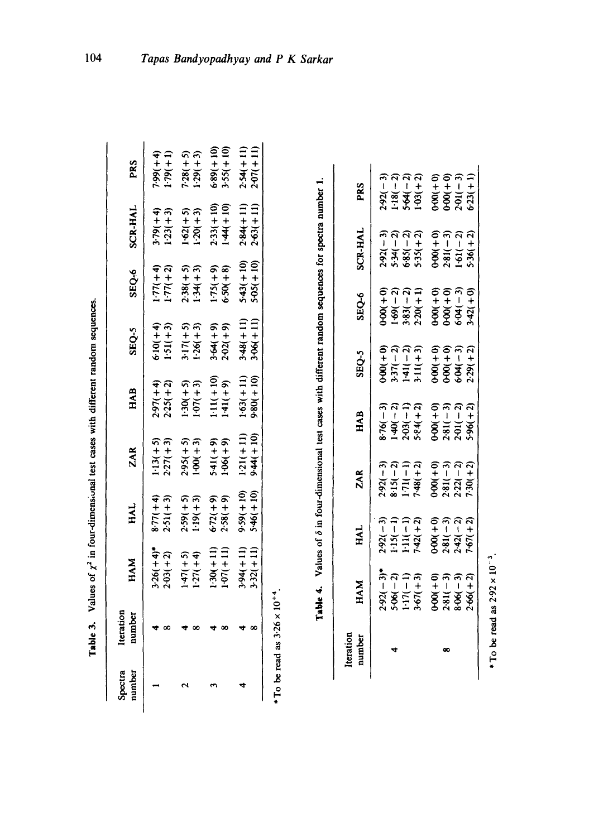| <b>AAA1104</b>                                                                                                                    |
|-----------------------------------------------------------------------------------------------------------------------------------|
|                                                                                                                                   |
| sional test cases with different rand<br><b>Contract States and States and States</b>                                             |
|                                                                                                                                   |
| $\log$ of $\chi^2$ in four-dimens.                                                                                                |
|                                                                                                                                   |
|                                                                                                                                   |
|                                                                                                                                   |
| ֧֪֖֧֪֪֧֧֧֧֧֧֧֧֧֧֧֧֧֧֧֧֧֧֧֧֝֝֝֝֝֝֝֩֓֓֝֓֝֓֝֬֝֓֝֬֝֓֝֬֩֓֓֝֓֝֓֝֬֓֝֬֝֓֝֬֩֓֬֝֓֝֬֝<br>֧֧֧֧֧֧֧֧֧֧֧֧֧֧֧֝֩֝֘֩֝֘֩֩֩֓֘֩֩֓֘֩֩֩֓֩<br>֧֪֧֪֧֧֩֝֘֩֘ |

| $2.97(+4)$<br>$2.25(+2)$<br>$1.13(+5)$<br>2.27(+3)<br>$8.77(+4)$<br>2.51(+3)                     |
|--------------------------------------------------------------------------------------------------|
| $1.30(+5)$<br>$1.07(+3)$<br>$2.95(+5)$<br>1.00(+3)<br>$2.59(+5)$<br>$1.19(+3)$                   |
| $\frac{1 \cdot 11( + 10)}{1 \cdot 41( + 9)}$<br>$541(+9)$<br>1.06(+9)<br>$6 - 72(1)$<br>2.58(19) |
| $1.63(+11)$<br>9:80(+10)<br>$1:21(+11)$<br>9:44(+10)<br>$9.59(+10)$<br>$5.46(+10)$               |

\*To be read as  $3.26 \times 10^{+4}$ .  $\cdot$  To be read as  $3.26 \times 10^{-4}$ .

| ĺ                                                                                     |
|---------------------------------------------------------------------------------------|
|                                                                                       |
| il test cases with different random sequences for spectra nu                          |
|                                                                                       |
| - 11:00 mm = 11:00 mm = 11:00 mm = 11:00 mm = 11:00 mm = 11:00 mm = 11:00 mm = 1<br>٤ |
|                                                                                       |
|                                                                                       |
| ur-dimensional                                                                        |
|                                                                                       |
| שטו עווי ש וט פ<br>しょくこう                                                              |
| i<br>Linnellin<br>ä                                                                   |
| Tabla 4<br> <br> <br> <br>                                                            |

| Iteration<br>number | HAM                                                                                                                          | HAL                                                                                                          | ZAR                                                                                | HAB                                                                    | SEQ-5                                                                                                                                                                       | SEQ-6                                                                                                        | SCR-HAL                                                                                                         | PRS                                                                                |
|---------------------|------------------------------------------------------------------------------------------------------------------------------|--------------------------------------------------------------------------------------------------------------|------------------------------------------------------------------------------------|------------------------------------------------------------------------|-----------------------------------------------------------------------------------------------------------------------------------------------------------------------------|--------------------------------------------------------------------------------------------------------------|-----------------------------------------------------------------------------------------------------------------|------------------------------------------------------------------------------------|
|                     |                                                                                                                              |                                                                                                              |                                                                                    |                                                                        |                                                                                                                                                                             |                                                                                                              |                                                                                                                 |                                                                                    |
|                     |                                                                                                                              |                                                                                                              |                                                                                    |                                                                        |                                                                                                                                                                             |                                                                                                              |                                                                                                                 |                                                                                    |
|                     |                                                                                                                              |                                                                                                              |                                                                                    |                                                                        |                                                                                                                                                                             |                                                                                                              |                                                                                                                 |                                                                                    |
|                     | $2,92( - 3)$<br>$5.66( - 2)$<br>$1.7( - 1)$<br>$1.7( - 1)$<br>$3.67( + 3)$<br>$3.60( + 0)$<br>$3.281( - 3)$<br>$3.606( - 2)$ | $2:92(-3)$<br>$1:15(-1)$<br>$1:11(-1)$<br>$7:42(+2)$<br>$0.00(+0)$<br>$2:81(-3)$<br>$2:42(-2)$<br>$7:67(+2)$ | $2.92(-3)$<br>8-15(-2)<br>8-15(-1)<br>1-71(-2)<br>7-32(-3)<br>0-00(+2)<br>2-32(-7) | $8.76(-3)$<br>1-40(-1)<br>2-03(-1)<br>5-84(+2)<br>5-91(-2)<br>2-01(-2) | $0+00$<br>$3-37$<br>$7-2$<br>$3-11$<br>$-3$<br>$-3$<br>$-3$<br>$-3$<br>$-3$<br>$-3$<br>$-3$<br>$-3$<br>$-3$<br>$-3$<br>$-3$<br>$-3$<br>$-3$<br>$-3$<br>$-3$<br>$-3$<br>$-3$ | $0.00(0)$<br>$1.69(-2)$<br>$0.383(-2)$<br>$0.383(-1)$<br>$0.20(0)$<br>$0.60(0)$<br>$0.60(0)$<br>$0.3942(-3)$ | $2.92(-3)$<br>$5.34(-2)$<br>$6.85(-2)$<br>$6.85(-2)$<br>$5.35(1-3)$<br>$6.00(1-3)$<br>$6.00(1-2)$<br>$1.61(-2)$ |                                                                                    |
|                     |                                                                                                                              |                                                                                                              |                                                                                    |                                                                        |                                                                                                                                                                             |                                                                                                              |                                                                                                                 | $2:92(-3)$<br>1-18(-2)<br>5-64(-2)<br>1-03(+2)<br>1-00(+0)<br>0-00(-3)<br>2-01(-3) |
|                     |                                                                                                                              |                                                                                                              |                                                                                    |                                                                        |                                                                                                                                                                             |                                                                                                              |                                                                                                                 |                                                                                    |
|                     |                                                                                                                              |                                                                                                              |                                                                                    |                                                                        |                                                                                                                                                                             |                                                                                                              |                                                                                                                 |                                                                                    |
|                     |                                                                                                                              |                                                                                                              |                                                                                    |                                                                        |                                                                                                                                                                             |                                                                                                              |                                                                                                                 |                                                                                    |

\* To be read as  $2.92 \times 10^{-3}$ . To be read as  $2.92 \times 10^{-3}$ .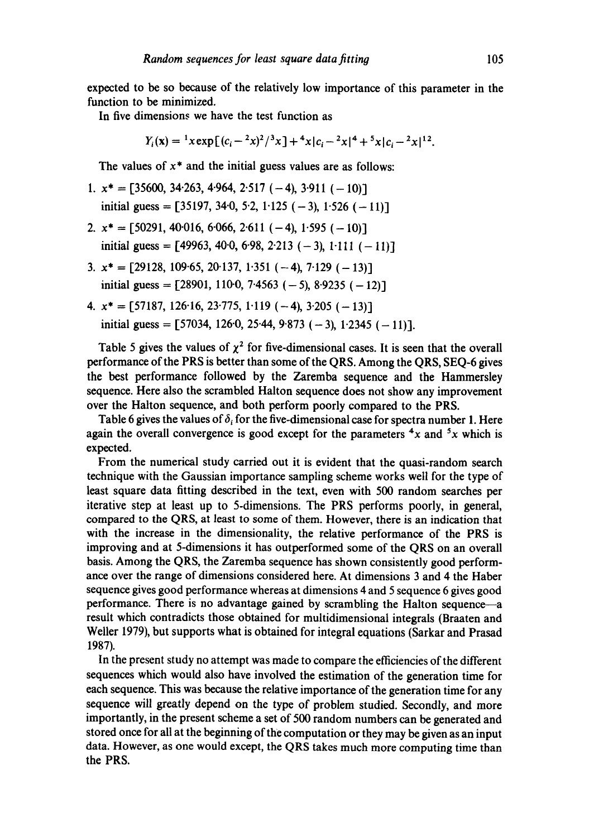expected to be so because of the relatively low importance of this parameter in the function to be minimized.

In five dimensions we have the test function as

$$
Y_i(\mathbf{x}) = {}^{1}x \exp\left[ (c_i - {}^{2}x)^2 / {}^{3}x \right] + {}^{4}x |c_i - {}^{2}x|^4 + {}^{5}x |c_i - {}^{2}x|^{12}.
$$

The values of  $x^*$  and the initial guess values are as follows:

1. 
$$
x^* = [35600, 34.263, 4.964, 2.517(-4), 3.911(-10)]
$$
  
initial guess = [35197, 34.0, 5.2, 1.125(-3), 1.526(-11)]

- 2.  $x^* = [50291, 40.016, 6.066, 2.611 (-4), 1.595 (-10)]$ initial guess =  $[49963, 400, 6098, 2013(-3), 1011(-11)]$
- 3.  $x^* = \{29128, 109.65, 20.137, 1.351 (-4), 7.129 (-13)\}\$ initial guess =  $[28901, 1100, 7.4563 (-5), 8.9235 (-12)]$
- 4.  $x^* = \begin{bmatrix} 57187, 126.16, 23.775, 1.119 (-4), 3.205 (-13) \end{bmatrix}$ initial guess =  $[57034, 1260, 2544, 9873 (-3), 12345 (-11)].$

Table 5 gives the values of  $\chi^2$  for five-dimensional cases. It is seen that the overall performance of the PRS is better than some of the QRS. Among the QRS, SEQ-6 gives the best performance followed by the Zaremba sequence and the Hammersley sequence. Here also the scrambled Halton sequence does not show any improvement over the Halton sequence, and both perform poorly compared to the PRS.

Table 6 gives the values of  $\delta_i$  for the five-dimensional case for spectra number 1. Here again the overall convergence is good except for the parameters  $4x$  and  $5x$  which is expected.

From the numerical study carried out it is evident that the quasi-random search technique with the Gaussian importance sampling scheme works well for the type of least square data fitting described in the text, even with 500 random searches per iterative step at least up to 5-dimensions. The PRS performs poorly, in general, compared to the QRS, at least to *some* of them. However, there is an indication that with the increase in the dimensionality, the relative performance of the PRS is improving and at 5-dimensions it has outperformed some of the QRS on an overall basis. Among the QRS, the Zaremba sequence has shown consistently good performance over the range of dimensions considered here. At dimensions 3 and 4 the Haber sequence gives good performance whereas at dimensions 4 and 5 sequence 6 gives good performance. There is no advantage gained by scrambling the Halton sequence-a result which contradicts those obtained for multidimensional integrals (Braaten and Weller 1979), but supports what is obtained for integral equations (Sarkar and Prasad 1987).

In the present study no attempt was made to compare the efficiencies of the different sequences which would also have involved the estimation of the generation time for each sequence. This was because the relative importance of the generation time for any sequence will greatly depend on the type of problem studied. Secondly, and more importantly, in the present scheme a set of 500 random numbers can be generated and stored once for all at the beginning of the computation or they may be given as an input data. However, as one would except, the QRS takes much more computing time than the PRS.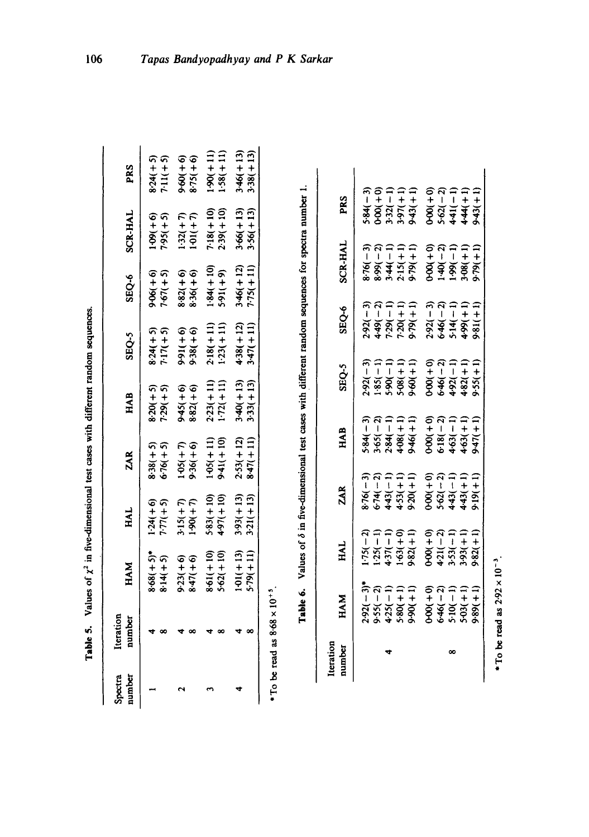| <b>The Monday</b>         |
|---------------------------|
|                           |
| .<br>.<br>.               |
| $\ddot{\phantom{a}}$<br>i |
| í                         |
| .<br>.                    |
|                           |
| Ì                         |
| j                         |
|                           |
| -<br>F                    |

106

| number<br>Spectra | Iteration<br>number                                | HAM                            | HAL                         | <b>ZAR</b>                 | HAB                        | SEQ-5                      | SEQ-6                     | <b>SCR-HAL</b>             | PRS                        |
|-------------------|----------------------------------------------------|--------------------------------|-----------------------------|----------------------------|----------------------------|----------------------------|---------------------------|----------------------------|----------------------------|
|                   |                                                    | $8.68(+5)^*$<br>$8.14(+5)$     | $1.24(+6)$<br>7.77(+5)      | $8-38(+5)$<br>6.76(+5)     | $8.20(+5)$<br>7.29(+5)     | $8.24(+5)$<br>7.17(+5)     | $9-06(1-6)$<br>7-67(+5)   | $1-09(1+6)$<br>7.95(+5)    | $8.24(+5)$<br>7.11(+5)     |
|                   |                                                    | $9 - 23(1)$<br>$8 - 47(1)$     | $3 - 15(1 + 7)$<br>1-90(+7) | $105(+7)$<br>9.36(+6)      | $945(+6)$<br>$882(+6)$     | $9-91(16)$<br>$9-91(16)$   | $8.82(+6)$<br>$8.36(+6)$  | $1.32(+7)$<br>$1.01(+7)$   | $9 - 90(1)$<br>$6 + 90(1)$ |
|                   |                                                    | $8.61(+10)$<br>$5 - 62( + 10)$ | $5-83(110)$<br>4-97(+10)    | $1-05(111)$<br>9-41(+10)   | $2-23(+11)$<br>$1-72(+11)$ | $2-18(+11)$<br>$1-23(+11)$ | $1.84(+10)$<br>5.91(+9)   | $7.18(+10)$<br>$2.39(+10)$ | $1.90(+11)$<br>$1.58(+11)$ |
|                   |                                                    | $101(+13)$<br>$5 - 79(111)$    | $3.93(+13)$<br>$3.21(+13)$  | $2.53(+12)$<br>$8.47(+11)$ | $3-40(+13)$<br>$3-33(+13)$ | $4-38(+12)$<br>$3-47(+11)$ | $346(+12)$<br>$7.75(+11)$ | $3.66(+13)$<br>$3.56(+13)$ | $3-46(+13)$<br>$3.38(+13)$ |
|                   | $*$ To be read as 8.68 $\times$ 10 <sup>+5</sup> . |                                |                             |                            |                            |                            |                           |                            |                            |

Table 6. Values of  $\delta$  in five-dimensional test cases with different random sequences for spectra number 1. Table 6. Values of  $\delta$  in five-dimensional test cases with different random sequences for spectra number 1.

| Iteration<br>number | <b>HAM</b>                                                                       | HAL                                                                            | ZAR                                                                | HAB                                                                              | SEQ-5                                                                            | SEQ-6                                                                                                                                                                                                                                                                | SCR-HAL                                                                               | PRS                                                                                                                                                                                                                                                                                                      |
|---------------------|----------------------------------------------------------------------------------|--------------------------------------------------------------------------------|--------------------------------------------------------------------|----------------------------------------------------------------------------------|----------------------------------------------------------------------------------|----------------------------------------------------------------------------------------------------------------------------------------------------------------------------------------------------------------------------------------------------------------------|---------------------------------------------------------------------------------------|----------------------------------------------------------------------------------------------------------------------------------------------------------------------------------------------------------------------------------------------------------------------------------------------------------|
|                     |                                                                                  |                                                                                |                                                                    |                                                                                  |                                                                                  |                                                                                                                                                                                                                                                                      |                                                                                       |                                                                                                                                                                                                                                                                                                          |
|                     |                                                                                  |                                                                                |                                                                    |                                                                                  |                                                                                  |                                                                                                                                                                                                                                                                      |                                                                                       |                                                                                                                                                                                                                                                                                                          |
|                     |                                                                                  |                                                                                |                                                                    |                                                                                  |                                                                                  |                                                                                                                                                                                                                                                                      |                                                                                       |                                                                                                                                                                                                                                                                                                          |
|                     |                                                                                  |                                                                                |                                                                    |                                                                                  |                                                                                  |                                                                                                                                                                                                                                                                      |                                                                                       |                                                                                                                                                                                                                                                                                                          |
|                     | $2.92( - 3)*$<br>$3.55( - 2)$<br>$4.25( - 1)$<br>$5.80( + 1)$<br>$5.90( + 1)$    | $175(-2)$<br>$125(-1)$<br>$1437(-1)$<br>$163(+0)$<br>$163(+1)$                 | $8.76(-3)$<br>$6.74(-2)$<br>$6.43(-1)$<br>$4.43(+1)$<br>$4.53(+1)$ | $3.84(-3)$<br>$3.65(-2)$<br>$3.84(-1)$<br>$4.98(+1)$<br>$4.98(+1)$               | $2.92(-3)$<br>$1.85(-1)$<br>$5.90(-1)$<br>$5.90(+1)$<br>$5.90(+1)$<br>$9.60(+1)$ |                                                                                                                                                                                                                                                                      | $8.76(-3)$<br>$8.99(-2)$<br>$8.44(-1)$<br>$2.15(+1)$<br>$9.79(+1)$                    |                                                                                                                                                                                                                                                                                                          |
|                     |                                                                                  |                                                                                |                                                                    |                                                                                  |                                                                                  | $732(1)$<br>$449(1)$<br>$729(1)$<br>$729(1)$<br>$729(1)$<br>$729(1)$<br>$729(1)$<br>$729(1)$<br>$729(1)$<br>$729(1)$<br>$729(1)$<br>$729(1)$<br>$729(1)$<br>$729(1)$<br>$729(1)$<br>$729(1)$<br>$729(1)$<br>$729(1)$<br>$729(1)$<br>$729(1)$<br>$729(1)$<br>$729(1)$ | $0.00(1+0)$<br>$1.40(-2)$<br>$1.99(-1)$<br>$1.99(1+1)$<br>$1.99(1+1)$<br>$0.979(1+1)$ | $-3$<br>$-3$<br>$-3$<br>$-3$<br>$-3$<br>$-3$<br>$-3$<br>$-3$<br>$-3$<br>$-3$<br>$-3$<br>$-3$<br>$-3$<br>$-3$<br>$-3$<br>$-3$<br>$-3$<br>$-3$<br>$-3$<br>$-3$<br>$-3$<br>$-3$<br>$-3$<br>$-3$<br>$-3$<br>$-3$<br>$-3$<br>$-3$<br>$-3$<br>$-3$<br>$-3$<br>$-3$<br>$-3$<br>$-3$<br>$-3$<br>$-3$<br>$-3$<br> |
|                     |                                                                                  |                                                                                |                                                                    |                                                                                  |                                                                                  |                                                                                                                                                                                                                                                                      |                                                                                       |                                                                                                                                                                                                                                                                                                          |
| œ                   | $0+00(+0)$<br>$6+46(-2)$<br>$5+10(-1)$<br>$5+03(+1)$<br>$5+03(+1)$<br>$9+89(+1)$ | $0.00(+0)$<br>$4.21(-2)$<br>$3.53(-1)$<br>$3.93(+1)$<br>$3.93(+1)$<br>9.82(+1) |                                                                    |                                                                                  |                                                                                  |                                                                                                                                                                                                                                                                      |                                                                                       |                                                                                                                                                                                                                                                                                                          |
|                     |                                                                                  |                                                                                |                                                                    |                                                                                  |                                                                                  |                                                                                                                                                                                                                                                                      |                                                                                       |                                                                                                                                                                                                                                                                                                          |
|                     |                                                                                  |                                                                                | $0.00(+0)$<br>$5.62(-2)$<br>$4.43(-1)$<br>$4.43(+1)$<br>$4.43(+1)$ | $0.00(+0)$<br>$6.18(-2)$<br>$6.18(-1)$<br>$4.63(+1)$<br>$4.63(+1)$<br>$9.47(+1)$ | $0.00(+0)$<br>$6.46(-2)$<br>$6.492(-1)$<br>$4.82(+1)$<br>$4.82(+1)$              |                                                                                                                                                                                                                                                                      |                                                                                       |                                                                                                                                                                                                                                                                                                          |

vay and  $P K Sarka$